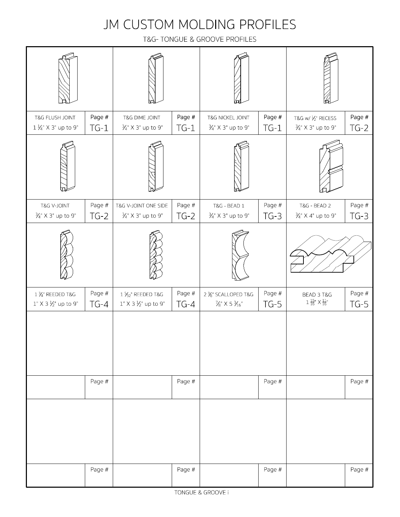### JM CUSTOM MOLDING PROFILES

T&G- TONGUE & GROOVE PROFILES

| T&G FLUSH JOINT<br>$1\frac{1}{4}$ " X 3" up to 9"             | Page #<br>$TG-1$ | T&G DIME JOINT<br>3/ <sub>4</sub> " X 3" up to 9"       | Page #<br>$TG-1$ | T&G NICKEL JOINT<br>$\frac{3}{4}$ " X 3" up to 9"       | Page #<br>$TG-1$   | T&G w/ 1/2" RECESS<br>3/ <sub>4</sub> X 3" up to 9"      | Page #<br>$TG-2$ |
|---------------------------------------------------------------|------------------|---------------------------------------------------------|------------------|---------------------------------------------------------|--------------------|----------------------------------------------------------|------------------|
|                                                               |                  |                                                         |                  |                                                         |                    |                                                          |                  |
| T&G V-JOINT<br>$\frac{3}{4}$ " X 3" up to 9"                  | Page #<br>$TG-2$ | T&G V-JOINT ONE SIDE<br>$\frac{3}{4}$ " X 3" up to 9"   | Page #<br>$TG-2$ | T&G - BEAD 1<br>$\frac{3}{4}$ " X 3" up to 9"           | Page $#$<br>$TG-3$ | <b>T&amp;G - BEAD 2</b><br>$\frac{3}{4}$ " X 4" up to 9" | Page #<br>$TG-3$ |
|                                                               |                  |                                                         |                  |                                                         |                    |                                                          |                  |
| $1\frac{3}{4}$ " REEDED T&G<br>$1" X 3 \frac{1}{2}" up to 9"$ | Page #<br>$TG-4$ | $1\,\%_2$ "REEDED T&G<br>$1" X 3 \frac{1}{2}" up to 9"$ | Page #<br>$TG-4$ | 2 % SCALLOPED T&G<br>$\frac{7}{8}$ X 5 $\frac{3}{16}$ " | Page #<br>$TG-5$   | BEAD 3 T&G<br>$1\frac{15}{16}$ $\times$ $\frac{11}{16}$  | Page #<br>$TG-5$ |
|                                                               |                  |                                                         |                  |                                                         |                    |                                                          |                  |
|                                                               | Page #           |                                                         | Page #           |                                                         | Page #             |                                                          | Page #           |
|                                                               |                  |                                                         |                  |                                                         |                    |                                                          |                  |
|                                                               | Page #           |                                                         | Page #           |                                                         | Page #             |                                                          | Page #           |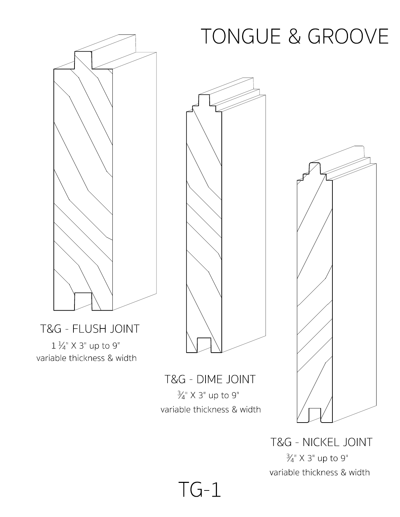#### $1\frac{1}{4}$ " X 3" up to 9" T&G - FLUSH JOINT variable thickness & width



3 <sup>4</sup>" X 3" up to 9" T&G - DIME JOINT variable thickness & width

TG-1

# TONGUE & GROOVE



3 <sup>4</sup>" X 3" up to 9" T&G - NICKEL JOINT variable thickness & width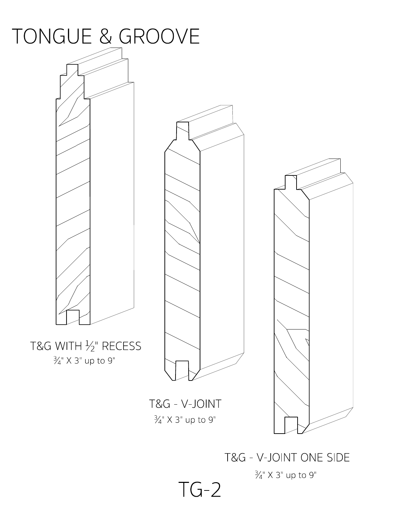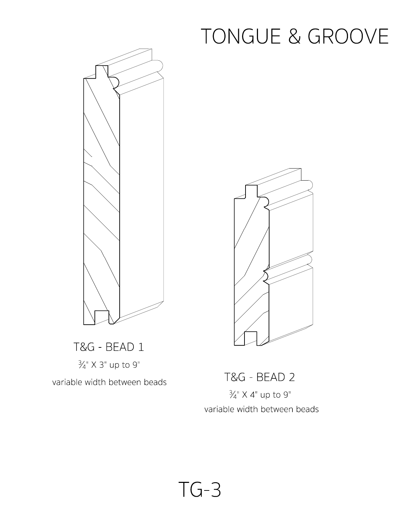

3 <sup>4</sup>" X 3" up to 9" T&G - BEAD 1

variable width between beads



3 <sup>4</sup>" X 4" up to 9" T&G - BEAD 2 variable width between beads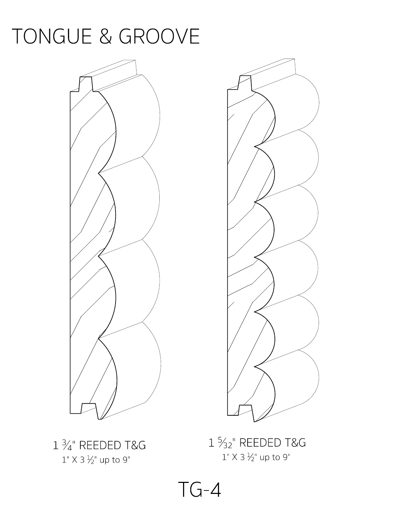

 $1"$  X 3  $\frac{1}{2}"$  up to 9"  $1\frac{3}{4}$ " REEDED T&G  $1$ 

 $1"$  X 3  $\frac{1}{2}"$  up to 9" 1 <sup>5</sup> <sup>32</sup>" REEDED T&G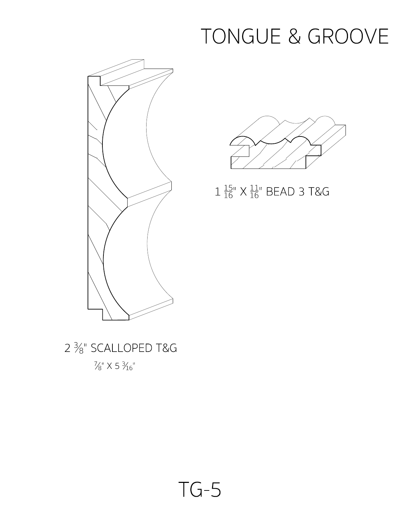



 $1\frac{15}{16}$ "  $\times$   $\frac{11}{16}$ " BEAD 3 T&G

 $\frac{7}{8}$ " X 5  $\frac{3}{16}$ " 2  $\frac{3}{8}$ " SCALLOPED T&G<br> $\frac{7}{8}$ " x 5  $\frac{3}{16}$ "